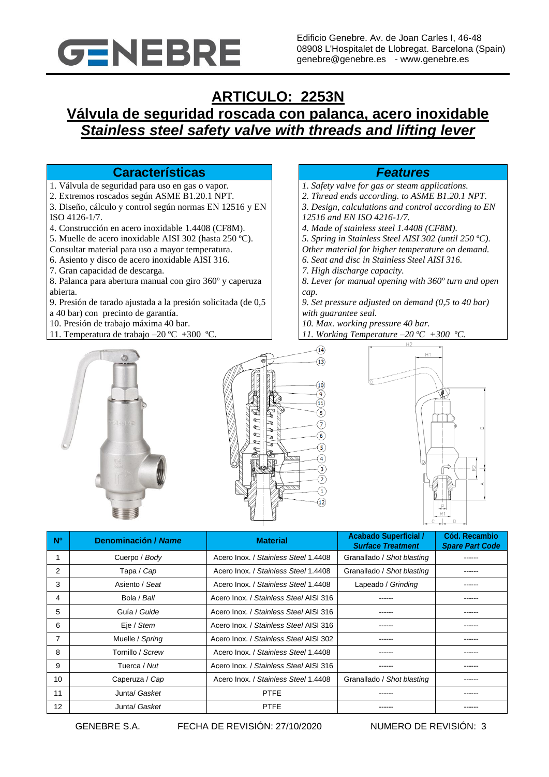

# **ARTICULO: 2253N Válvula de seguridad roscada con palanca, acero inoxidable** *Stainless steel safety valve with threads and lifting lever*

## **Características** *Features*

- 1. Válvula de seguridad para uso en gas o vapor.
- 2. Extremos roscados según ASME B1.20.1 NPT.
- 3. Diseño, cálculo y control según normas EN 12516 y EN ISO 4126-1/7.
- 4. Construcción en acero inoxidable 1.4408 (CF8M).
- 5. Muelle de acero inoxidable AISI 302 (hasta 250 ºC).
- Consultar material para uso a mayor temperatura.
- 6. Asiento y disco de acero inoxidable AISI 316.
- 7. Gran capacidad de descarga.
- 8. Palanca para abertura manual con giro 360º y caperuza abierta.
- 9. Presión de tarado ajustada a la presión solicitada (de 0,5 a 40 bar) con precinto de garantía.
- 10. Presión de trabajo máxima 40 bar.
- 11. Temperatura de trabajo –20 ºC +300 ºC.

- *1. Safety valve for gas or steam applications.*
- *2. Thread ends according. to ASME B1.20.1 NPT.*
- *3. Design, calculations and control according to EN 12516 and EN ISO 4216-1/7.*
- *4. Made of stainless steel 1.4408 (CF8M).*
- *5. Spring in Stainless Steel AISI 302 (until 250 ºC).*
- *Other material for higher temperature on demand.*
- *6. Seat and disc in Stainless Steel AISI 316.*
- *7. High discharge capacity.*

*8. Lever for manual opening with 360º turn and open cap.*

*9. Set pressure adjusted on demand (0,5 to 40 bar) with guarantee seal.*

- *10. Max. working pressure 40 bar.*
- *11. Working Temperature –20 ºC +300 ºC.*







| N <sup>o</sup> | Denominación / Name | <b>Material</b>                        | <b>Acabado Superficial /</b><br><b>Surface Treatment</b> | Cód. Recambio<br><b>Spare Part Code</b> |
|----------------|---------------------|----------------------------------------|----------------------------------------------------------|-----------------------------------------|
|                | Cuerpo / Body       | Acero Inox. / Stainless Steel 1.4408   | Granallado / Shot blasting                               | ------                                  |
| 2              | Tapa / Cap          | Acero Inox. / Stainless Steel 1.4408   | Granallado / Shot blasting                               | ------                                  |
| 3              | Asiento / Seat      | Acero Inox. / Stainless Steel 1.4408   | Lapeado / Grinding                                       |                                         |
| 4              | Bola / Ball         | Acero Inox. / Stainless Steel AISI 316 | ------                                                   | ------                                  |
| 5              | Guía / Guide        | Acero Inox. / Stainless Steel AISI 316 |                                                          | ------                                  |
| 6              | Eje / Stem          | Acero Inox. / Stainless Steel AISI 316 |                                                          | ------                                  |
| 7              | Muelle / Spring     | Acero Inox. / Stainless Steel AISI 302 |                                                          |                                         |
| 8              | Tornillo / Screw    | Acero Inox. / Stainless Steel 1.4408   | ------                                                   | ------                                  |
| 9              | Tuerca / Nut        | Acero Inox. / Stainless Steel AISI 316 | ------                                                   | ------                                  |
| 10             | Caperuza / Cap      | Acero Inox. / Stainless Steel 1.4408   | Granallado / Shot blasting                               | ------                                  |
| 11             | Junta/ Gasket       | <b>PTFE</b>                            |                                                          | -----                                   |
| 12             | Junta/ Gasket       | <b>PTFE</b>                            |                                                          | -----                                   |

GENEBRE S.A. FECHA DE REVISIÓN: 27/10/2020 NUMERO DE REVISIÓN: 3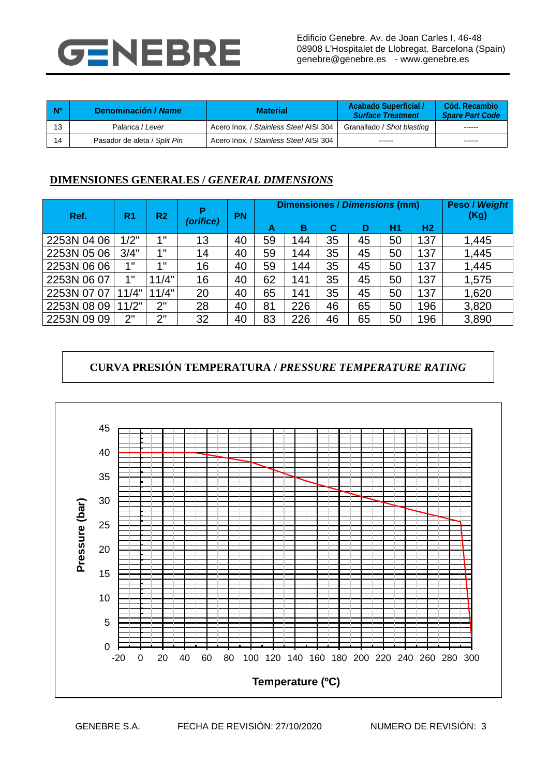

| <b>No</b> | Denominación / Name          | <b>Material</b>                        | <b>Acabado Superficial /</b><br><b>Surface Treatment</b> | Cód. Recambio<br><b>Spare Part Code</b> |
|-----------|------------------------------|----------------------------------------|----------------------------------------------------------|-----------------------------------------|
| 13        | Palanca / Lever              | Acero Inox. / Stainless Steel AISI 304 | Granallado / Shot blasting                               |                                         |
| 14        | Pasador de aleta / Split Pin | Acero Inox. / Stainless Steel AISI 304 | -------                                                  | ------                                  |

## **DIMENSIONES GENERALES /** *GENERAL DIMENSIONS*

| Ref.        | R <sub>1</sub><br>R <sub>2</sub> |       | <b>PN</b> | <b>Dimensiones / Dimensions (mm)</b> |    |     |    |    | <b>Peso / Weight</b><br>(Kg) |                |       |
|-------------|----------------------------------|-------|-----------|--------------------------------------|----|-----|----|----|------------------------------|----------------|-------|
|             |                                  |       | (orifice) |                                      | А  | в   | C  | D  | H1                           | H <sub>2</sub> |       |
| 2253N 04 06 | 1/2"                             | 4 !!  | 13        | 40                                   | 59 | 144 | 35 | 45 | 50                           | 137            | 1,445 |
| 2253N 05 06 | 3/4"                             | 4 !!  | 14        | 40                                   | 59 | 144 | 35 | 45 | 50                           | 137            | 1,445 |
| 2253N 06 06 | 1"                               | 4 !!  | 16        | 40                                   | 59 | 144 | 35 | 45 | 50                           | 137            | 1,445 |
| 2253N 06 07 | 1"                               | 11/4" | 16        | 40                                   | 62 | 141 | 35 | 45 | 50                           | 137            | 1,575 |
| 2253N 07 07 | 1/4"<br>1                        | 11/4" | 20        | 40                                   | 65 | 141 | 35 | 45 | 50                           | 137            | 1,620 |
| 2253N 08 09 | 1/2"                             | 2"    | 28        | 40                                   | 81 | 226 | 46 | 65 | 50                           | 196            | 3,820 |
| 2253N 09 09 | 2"                               | 2"    | 32        | 40                                   | 83 | 226 | 46 | 65 | 50                           | 196            | 3,890 |

# **CURVA PRESIÓN TEMPERATURA /** *PRESSURE TEMPERATURE RATING*

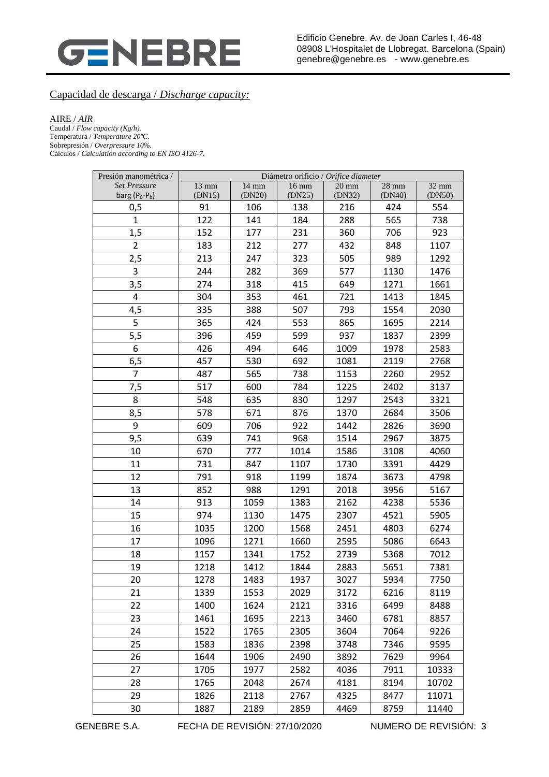

### Capacidad de descarga / *Discharge capacity:*

#### AIRE / *AIR*

Caudal / *Flow capacity (Kg/h).* Temperatura / *Temperature 20ºC.* Sobrepresión / *Overpressure 10%.* Cálculos / *Calculation according to EN ISO 4126-7.*

| Presión manométrica /                   | Diámetro orificio / Orifice diameter |                           |                           |                           |                   |                 |  |
|-----------------------------------------|--------------------------------------|---------------------------|---------------------------|---------------------------|-------------------|-----------------|--|
| <b>Set Pressure</b><br>barg $(P_0-P_b)$ | $13$ mm<br>(DN15)                    | $14 \text{ mm}$<br>(DN20) | $16 \text{ mm}$<br>(DN25) | $20 \text{ mm}$<br>(DN32) | $28$ mm<br>(DN40) | 32 mm<br>(DN50) |  |
| 0,5                                     | 91                                   | 106                       | 138                       | 216                       | 424               | 554             |  |
| $\mathbf{1}$                            | 122                                  | 141                       | 184                       | 288                       | 565               | 738             |  |
| 1,5                                     | 152                                  | 177                       | 231                       | 360                       | 706               | 923             |  |
| $\overline{2}$                          | 183                                  | 212                       | 277                       | 432                       | 848               | 1107            |  |
| 2,5                                     | 213                                  | 247                       | 323                       | 505                       | 989               | 1292            |  |
| 3                                       | 244                                  | 282                       | 369                       | 577                       | 1130              | 1476            |  |
| 3,5                                     | 274                                  | 318                       | 415                       | 649                       | 1271              | 1661            |  |
| 4                                       | 304                                  | 353                       | 461                       | 721                       | 1413              | 1845            |  |
| 4,5                                     | 335                                  | 388                       | 507                       | 793                       | 1554              | 2030            |  |
| 5                                       | 365                                  | 424                       | 553                       | 865                       | 1695              | 2214            |  |
| 5,5                                     | 396                                  | 459                       | 599                       | 937                       | 1837              | 2399            |  |
| 6                                       | 426                                  | 494                       | 646                       | 1009                      | 1978              | 2583            |  |
| 6,5                                     | 457                                  | 530                       | 692                       | 1081                      | 2119              | 2768            |  |
| $\overline{7}$                          | 487                                  | 565                       | 738                       | 1153                      | 2260              | 2952            |  |
| 7,5                                     | 517                                  | 600                       | 784                       | 1225                      | 2402              | 3137            |  |
| 8                                       | 548                                  | 635                       | 830                       | 1297                      | 2543              | 3321            |  |
| 8,5                                     | 578                                  | 671                       | 876                       | 1370                      | 2684              | 3506            |  |
| 9                                       | 609                                  | 706                       | 922                       | 1442                      | 2826              | 3690            |  |
| 9,5                                     | 639                                  | 741                       | 968                       | 1514                      | 2967              | 3875            |  |
| 10                                      | 670                                  | 777                       | 1014                      | 1586                      | 3108              | 4060            |  |
| 11                                      | 731                                  | 847                       | 1107                      | 1730                      | 3391              | 4429            |  |
| 12                                      | 791                                  | 918                       | 1199                      | 1874                      | 3673              | 4798            |  |
| 13                                      | 852                                  | 988                       | 1291                      | 2018                      | 3956              | 5167            |  |
| 14                                      | 913                                  | 1059                      | 1383                      | 2162                      | 4238              | 5536            |  |
| 15                                      | 974                                  | 1130                      | 1475                      | 2307                      | 4521              | 5905            |  |
| 16                                      | 1035                                 | 1200                      | 1568                      | 2451                      | 4803              | 6274            |  |
| 17                                      | 1096                                 | 1271                      | 1660                      | 2595                      | 5086              | 6643            |  |
| 18                                      | 1157                                 | 1341                      | 1752                      | 2739                      | 5368              | 7012            |  |
| 19                                      | 1218                                 | 1412                      | 1844                      | 2883                      | 5651              | 7381            |  |
| 20                                      | 1278                                 | 1483                      | 1937                      | 3027                      | 5934              | 7750            |  |
| 21                                      | 1339                                 | 1553                      | 2029                      | 3172                      | 6216              | 8119            |  |
| 22                                      | 1400                                 | 1624                      | 2121                      | 3316                      | 6499              | 8488            |  |
| 23                                      | 1461                                 | 1695                      | 2213                      | 3460                      | 6781              | 8857            |  |
| 24                                      | 1522                                 | 1765                      | 2305                      | 3604                      | 7064              | 9226            |  |
| 25                                      | 1583                                 | 1836                      | 2398                      | 3748                      | 7346              | 9595            |  |
| 26                                      | 1644                                 | 1906                      | 2490                      | 3892                      | 7629              | 9964            |  |
| 27                                      | 1705                                 | 1977                      | 2582                      | 4036                      | 7911              | 10333           |  |
| 28                                      | 1765                                 | 2048                      | 2674                      | 4181                      | 8194              | 10702           |  |
| 29                                      | 1826                                 | 2118                      | 2767                      | 4325                      | 8477              | 11071           |  |
| 30                                      | 1887                                 | 2189                      | 2859                      | 4469                      | 8759              | 11440           |  |

GENEBRE S.A. FECHA DE REVISIÓN: 27/10/2020 NUMERO DE REVISIÓN: 3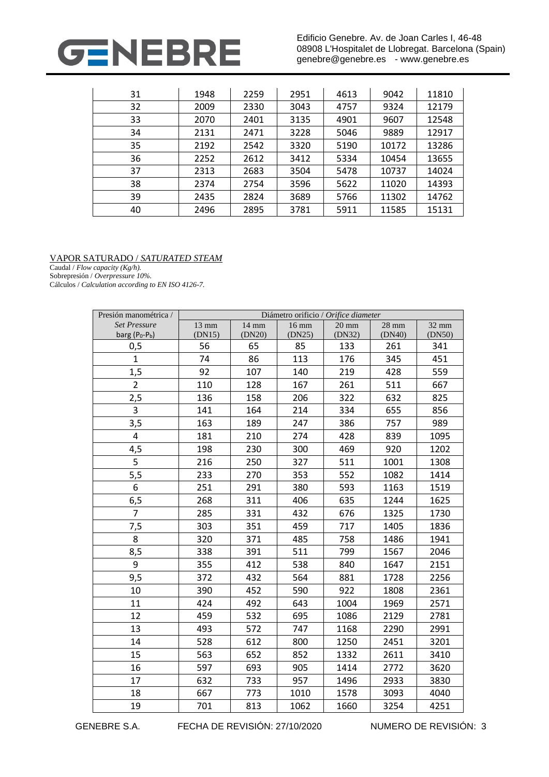

Edificio Genebre. Av. de Joan Carles I, 46-48 08908 L'Hospitalet de Llobregat. Barcelona (Spain) genebre@genebre.es - www.genebre.es

| 31 | 1948 | 2259 | 2951 | 4613 | 9042  | 11810 |
|----|------|------|------|------|-------|-------|
| 32 | 2009 | 2330 | 3043 | 4757 | 9324  | 12179 |
| 33 | 2070 | 2401 | 3135 | 4901 | 9607  | 12548 |
| 34 | 2131 | 2471 | 3228 | 5046 | 9889  | 12917 |
| 35 | 2192 | 2542 | 3320 | 5190 | 10172 | 13286 |
| 36 | 2252 | 2612 | 3412 | 5334 | 10454 | 13655 |
| 37 | 2313 | 2683 | 3504 | 5478 | 10737 | 14024 |
| 38 | 2374 | 2754 | 3596 | 5622 | 11020 | 14393 |
| 39 | 2435 | 2824 | 3689 | 5766 | 11302 | 14762 |
| 40 | 2496 | 2895 | 3781 | 5911 | 11585 | 15131 |

#### VAPOR SATURADO / *SATURATED STEAM*

Caudal / *Flow capacity (Kg/h).*

Sobrepresión / *Overpressure 10%.* Cálculos / *Calculation according to EN ISO 4126-7.*

| Presión manométrica / | Diámetro orificio / Orifice diameter |        |                 |                 |         |        |  |  |
|-----------------------|--------------------------------------|--------|-----------------|-----------------|---------|--------|--|--|
| <b>Set Pressure</b>   | 13 mm                                | 14 mm  | $16 \text{ mm}$ | $20 \text{ mm}$ | $28$ mm | 32 mm  |  |  |
| barg $(P_0-P_b)$      | (DN15)                               | (DN20) | (DN25)          | (DN32)          | (DN40)  | (DN50) |  |  |
| 0,5                   | 56                                   | 65     | 85              | 133             | 261     | 341    |  |  |
| $\mathbf{1}$          | 74                                   | 86     | 113             | 176             | 345     | 451    |  |  |
| 1,5                   | 92                                   | 107    | 140             | 219             | 428     | 559    |  |  |
| $\overline{2}$        | 110                                  | 128    | 167             | 261             | 511     | 667    |  |  |
| 2,5                   | 136                                  | 158    | 206             | 322             | 632     | 825    |  |  |
| 3                     | 141                                  | 164    | 214             | 334             | 655     | 856    |  |  |
| 3,5                   | 163                                  | 189    | 247             | 386             | 757     | 989    |  |  |
| 4                     | 181                                  | 210    | 274             | 428             | 839     | 1095   |  |  |
| 4,5                   | 198                                  | 230    | 300             | 469             | 920     | 1202   |  |  |
| 5                     | 216                                  | 250    | 327             | 511             | 1001    | 1308   |  |  |
| 5,5                   | 233                                  | 270    | 353             | 552             | 1082    | 1414   |  |  |
| 6                     | 251                                  | 291    | 380             | 593             | 1163    | 1519   |  |  |
| 6,5                   | 268                                  | 311    | 406             | 635             | 1244    | 1625   |  |  |
| $\overline{7}$        | 285                                  | 331    | 432             | 676             | 1325    | 1730   |  |  |
| 7,5                   | 303                                  | 351    | 459             | 717             | 1405    | 1836   |  |  |
| 8                     | 320                                  | 371    | 485             | 758             | 1486    | 1941   |  |  |
| 8,5                   | 338                                  | 391    | 511             | 799             | 1567    | 2046   |  |  |
| 9                     | 355                                  | 412    | 538             | 840             | 1647    | 2151   |  |  |
| 9,5                   | 372                                  | 432    | 564             | 881             | 1728    | 2256   |  |  |
| 10                    | 390                                  | 452    | 590             | 922             | 1808    | 2361   |  |  |
| 11                    | 424                                  | 492    | 643             | 1004            | 1969    | 2571   |  |  |
| 12                    | 459                                  | 532    | 695             | 1086            | 2129    | 2781   |  |  |
| 13                    | 493                                  | 572    | 747             | 1168            | 2290    | 2991   |  |  |
| 14                    | 528                                  | 612    | 800             | 1250            | 2451    | 3201   |  |  |
| 15                    | 563                                  | 652    | 852             | 1332            | 2611    | 3410   |  |  |
| 16                    | 597                                  | 693    | 905             | 1414            | 2772    | 3620   |  |  |
| 17                    | 632                                  | 733    | 957             | 1496            | 2933    | 3830   |  |  |
| 18                    | 667                                  | 773    | 1010            | 1578            | 3093    | 4040   |  |  |
| 19                    | 701                                  | 813    | 1062            | 1660            | 3254    | 4251   |  |  |